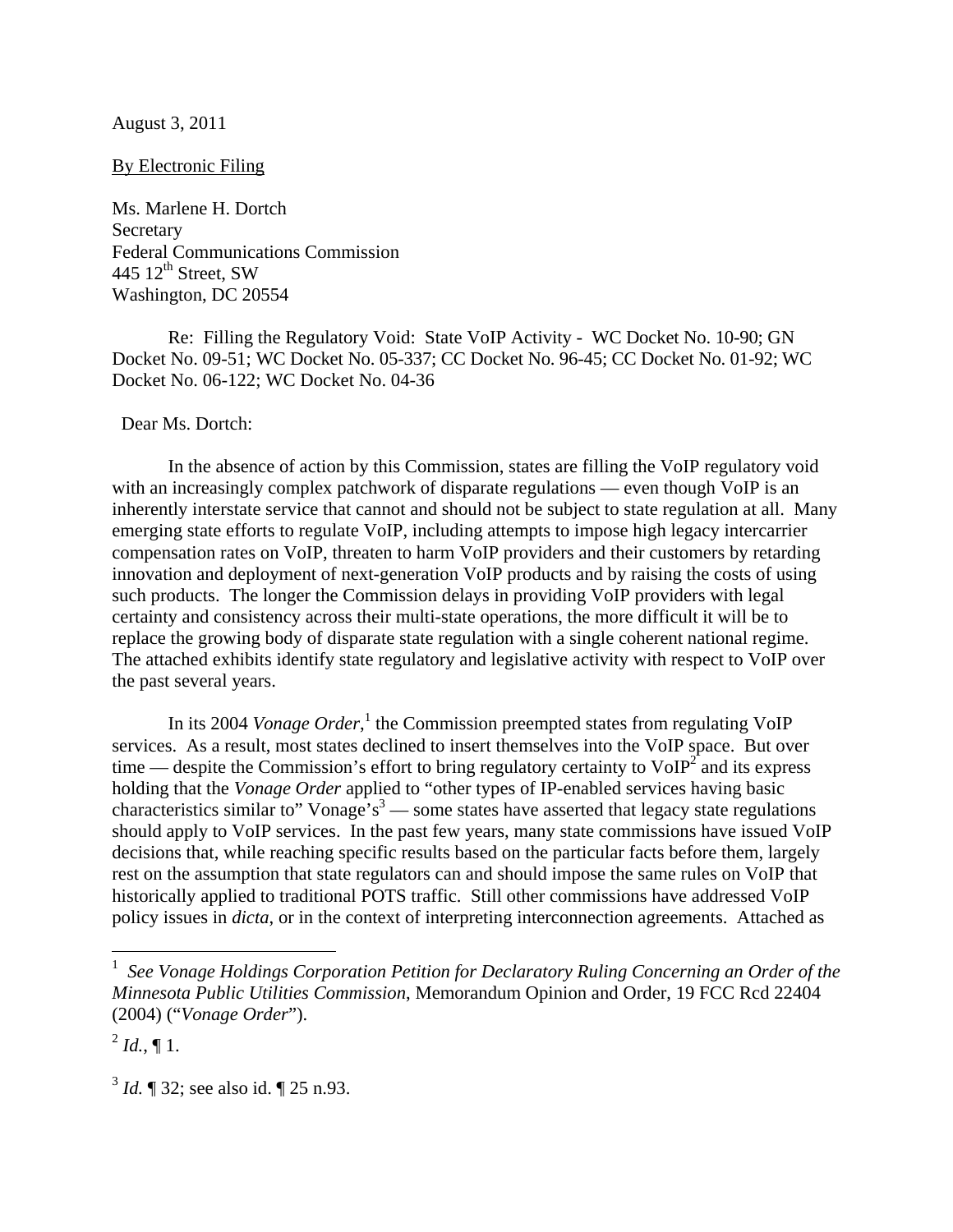#### August 3, 2011

#### By Electronic Filing

Ms. Marlene H. Dortch Secretary Federal Communications Commission 445  $12^{\text{th}}$  Street, SW Washington, DC 20554

 Re: Filling the Regulatory Void: State VoIP Activity - WC Docket No. 10-90; GN Docket No. 09-51; WC Docket No. 05-337; CC Docket No. 96-45; CC Docket No. 01-92; WC Docket No. 06-122; WC Docket No. 04-36

#### Dear Ms. Dortch:

In the absence of action by this Commission, states are filling the VoIP regulatory void with an increasingly complex patchwork of disparate regulations — even though VoIP is an inherently interstate service that cannot and should not be subject to state regulation at all. Many emerging state efforts to regulate VoIP, including attempts to impose high legacy intercarrier compensation rates on VoIP, threaten to harm VoIP providers and their customers by retarding innovation and deployment of next-generation VoIP products and by raising the costs of using such products. The longer the Commission delays in providing VoIP providers with legal certainty and consistency across their multi-state operations, the more difficult it will be to replace the growing body of disparate state regulation with a single coherent national regime. The attached exhibits identify state regulatory and legislative activity with respect to VoIP over the past several years.

In its 2004 *Vonage Order*,<sup>1</sup> the Commission preempted states from regulating VoIP services. As a result, most states declined to insert themselves into the VoIP space. But over time — despite the Commission's effort to bring regulatory certainty to  $VoIP<sup>2</sup>$  and its express holding that the *Vonage Order* applied to "other types of IP-enabled services having basic characteristics similar to" Vonage's<sup>3</sup> — some states have asserted that legacy state regulations should apply to VoIP services. In the past few years, many state commissions have issued VoIP decisions that, while reaching specific results based on the particular facts before them, largely rest on the assumption that state regulators can and should impose the same rules on VoIP that historically applied to traditional POTS traffic. Still other commissions have addressed VoIP policy issues in *dicta*, or in the context of interpreting interconnection agreements. Attached as

 $^{2}$  *Id.*, ¶ 1.

 $\overline{a}$ 

<sup>3</sup> *Id.* ¶ 32; see also id. ¶ 25 n.93.

<sup>1</sup> *See Vonage Holdings Corporation Petition for Declaratory Ruling Concerning an Order of the Minnesota Public Utilities Commission*, Memorandum Opinion and Order, 19 FCC Rcd 22404 (2004) ("*Vonage Order*").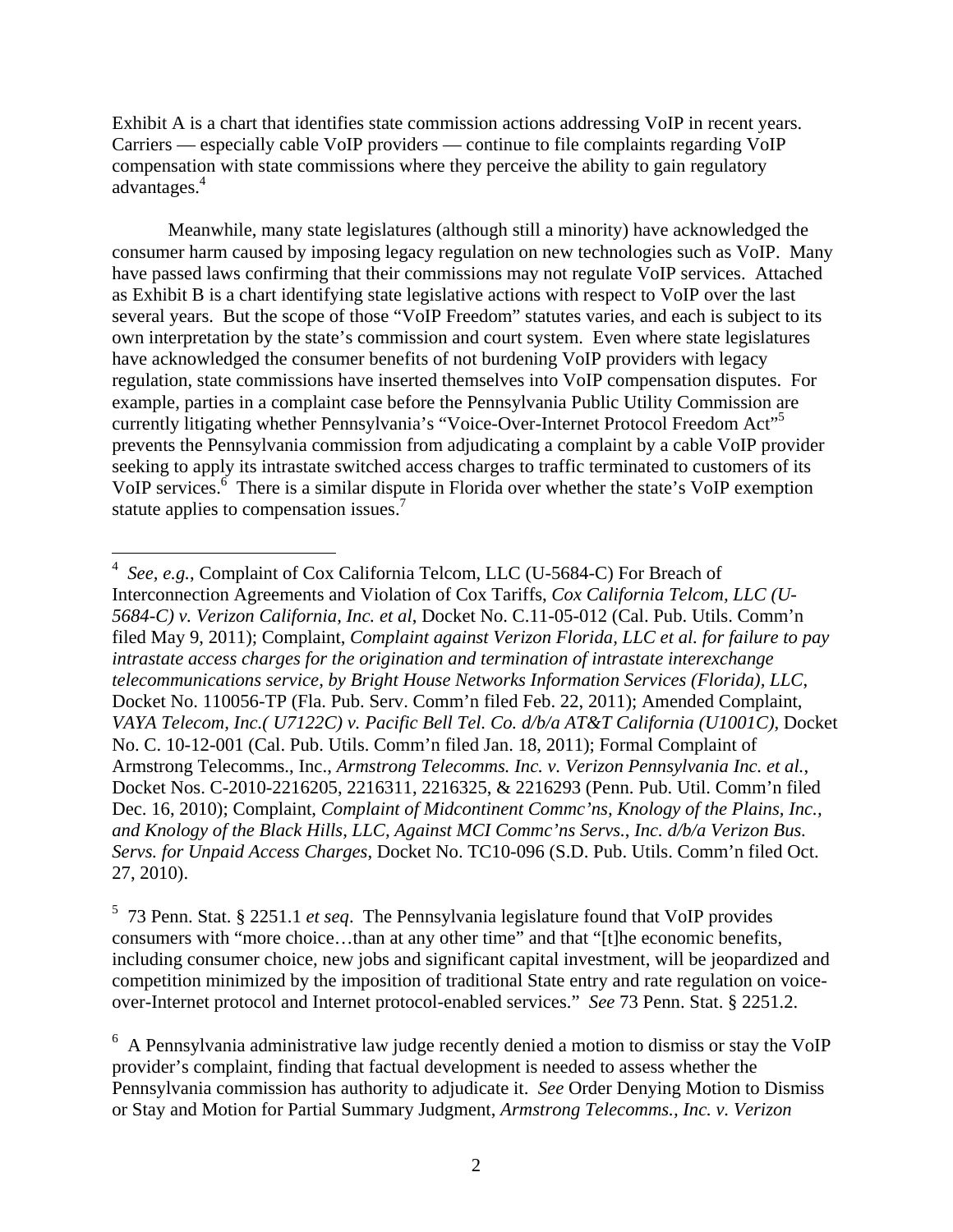Exhibit A is a chart that identifies state commission actions addressing VoIP in recent years. Carriers — especially cable VoIP providers — continue to file complaints regarding VoIP compensation with state commissions where they perceive the ability to gain regulatory advantages.<sup>4</sup>

Meanwhile, many state legislatures (although still a minority) have acknowledged the consumer harm caused by imposing legacy regulation on new technologies such as VoIP. Many have passed laws confirming that their commissions may not regulate VoIP services. Attached as Exhibit B is a chart identifying state legislative actions with respect to VoIP over the last several years. But the scope of those "VoIP Freedom" statutes varies, and each is subject to its own interpretation by the state's commission and court system. Even where state legislatures have acknowledged the consumer benefits of not burdening VoIP providers with legacy regulation, state commissions have inserted themselves into VoIP compensation disputes. For example, parties in a complaint case before the Pennsylvania Public Utility Commission are currently litigating whether Pennsylvania's "Voice-Over-Internet Protocol Freedom Act"<sup>5</sup> prevents the Pennsylvania commission from adjudicating a complaint by a cable VoIP provider seeking to apply its intrastate switched access charges to traffic terminated to customers of its VoIP services.<sup>6</sup> There is a similar dispute in Florida over whether the state's VoIP exemption statute applies to compensation issues.<sup>7</sup>

5 73 Penn. Stat. § 2251.1 *et seq*. The Pennsylvania legislature found that VoIP provides consumers with "more choice…than at any other time" and that "[t]he economic benefits, including consumer choice, new jobs and significant capital investment, will be jeopardized and competition minimized by the imposition of traditional State entry and rate regulation on voiceover-Internet protocol and Internet protocol-enabled services." *See* 73 Penn. Stat. § 2251.2.

 4 *See, e.g.*, Complaint of Cox California Telcom, LLC (U-5684-C) For Breach of Interconnection Agreements and Violation of Cox Tariffs, *Cox California Telcom, LLC (U-5684-C) v. Verizon California, Inc. et al*, Docket No. C.11-05-012 (Cal. Pub. Utils. Comm'n filed May 9, 2011); Complaint, *Complaint against Verizon Florida, LLC et al. for failure to pay intrastate access charges for the origination and termination of intrastate interexchange telecommunications service, by Bright House Networks Information Services (Florida), LLC*, Docket No. 110056-TP (Fla. Pub. Serv. Comm'n filed Feb. 22, 2011); Amended Complaint, *VAYA Telecom, Inc.( U7122C) v. Pacific Bell Tel. Co. d/b/a AT&T California (U1001C)*, Docket No. C. 10-12-001 (Cal. Pub. Utils. Comm'n filed Jan. 18, 2011); Formal Complaint of Armstrong Telecomms., Inc., *Armstrong Telecomms. Inc. v. Verizon Pennsylvania Inc. et al.*, Docket Nos. C-2010-2216205, 2216311, 2216325, & 2216293 (Penn. Pub. Util. Comm'n filed Dec. 16, 2010); Complaint, *Complaint of Midcontinent Commc'ns, Knology of the Plains, Inc.*, *and Knology of the Black Hills, LLC, Against MCI Commc'ns Servs.*, *Inc. d/b/a Verizon Bus. Servs. for Unpaid Access Charges*, Docket No. TC10-096 (S.D. Pub. Utils. Comm'n filed Oct. 27, 2010).

<sup>&</sup>lt;sup>6</sup> A Pennsylvania administrative law judge recently denied a motion to dismiss or stay the VoIP provider's complaint, finding that factual development is needed to assess whether the Pennsylvania commission has authority to adjudicate it. *See* Order Denying Motion to Dismiss or Stay and Motion for Partial Summary Judgment, *Armstrong Telecomms., Inc. v. Verizon*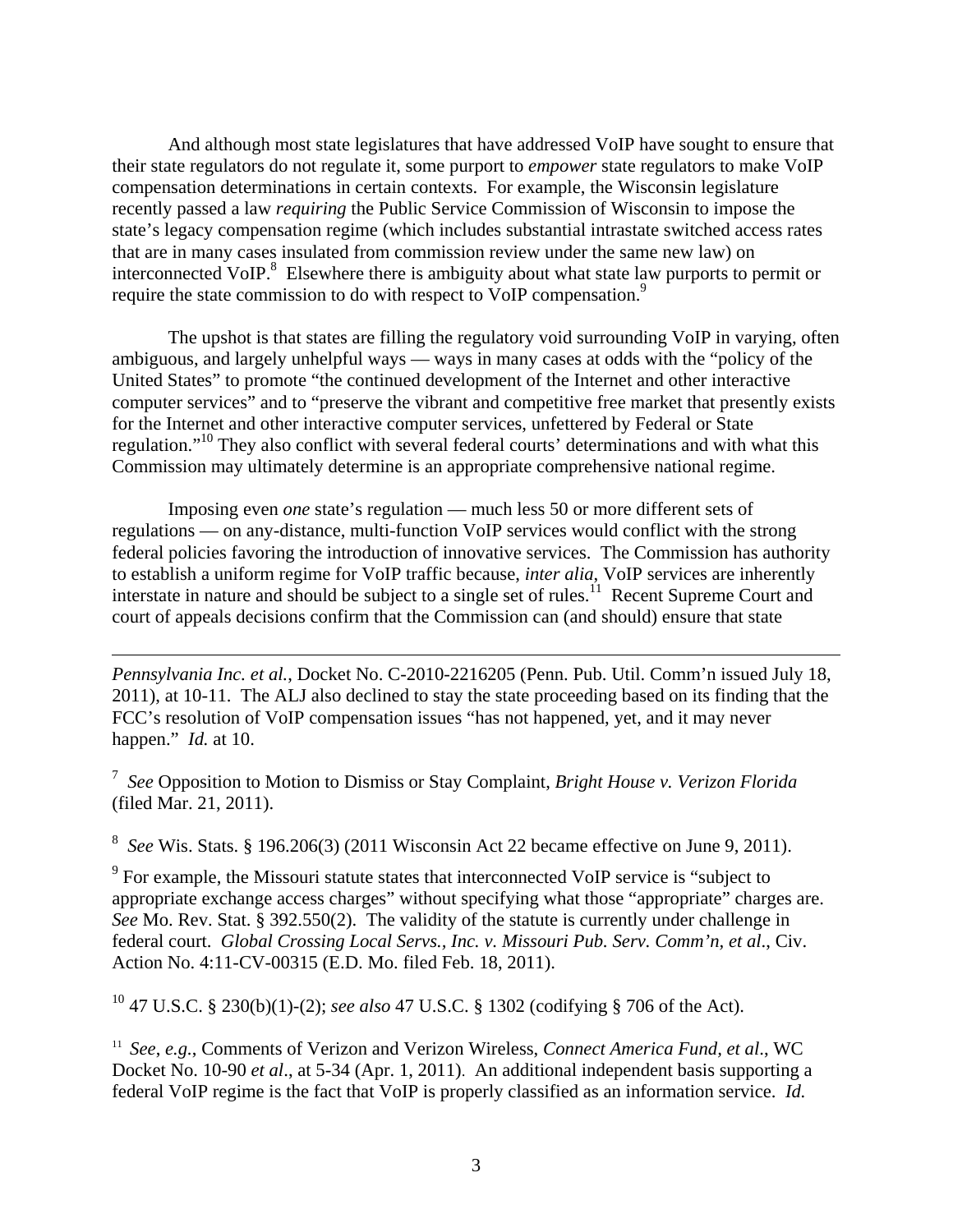And although most state legislatures that have addressed VoIP have sought to ensure that their state regulators do not regulate it, some purport to *empower* state regulators to make VoIP compensation determinations in certain contexts. For example, the Wisconsin legislature recently passed a law *requiring* the Public Service Commission of Wisconsin to impose the state's legacy compensation regime (which includes substantial intrastate switched access rates that are in many cases insulated from commission review under the same new law) on interconnected VoIP. $8$  Elsewhere there is ambiguity about what state law purports to permit or require the state commission to do with respect to VoIP compensation.<sup>9</sup>

The upshot is that states are filling the regulatory void surrounding VoIP in varying, often ambiguous, and largely unhelpful ways — ways in many cases at odds with the "policy of the United States" to promote "the continued development of the Internet and other interactive computer services" and to "preserve the vibrant and competitive free market that presently exists for the Internet and other interactive computer services, unfettered by Federal or State regulation."10 They also conflict with several federal courts' determinations and with what this Commission may ultimately determine is an appropriate comprehensive national regime.

Imposing even *one* state's regulation — much less 50 or more different sets of regulations — on any-distance, multi-function VoIP services would conflict with the strong federal policies favoring the introduction of innovative services. The Commission has authority to establish a uniform regime for VoIP traffic because, *inter alia*, VoIP services are inherently interstate in nature and should be subject to a single set of rules.<sup>11</sup> Recent Supreme Court and court of appeals decisions confirm that the Commission can (and should) ensure that state

*Pennsylvania Inc. et al.*, Docket No. C-2010-2216205 (Penn. Pub. Util. Comm'n issued July 18, 2011), at 10-11. The ALJ also declined to stay the state proceeding based on its finding that the FCC's resolution of VoIP compensation issues "has not happened, yet, and it may never happen." *Id.* at 10.

 $\overline{a}$ 

7 *See* Opposition to Motion to Dismiss or Stay Complaint, *Bright House v. Verizon Florida* (filed Mar. 21, 2011).

8 *See* Wis. Stats. § 196.206(3) (2011 Wisconsin Act 22 became effective on June 9, 2011).

<sup>9</sup> For example, the Missouri statute states that interconnected VoIP service is "subject to appropriate exchange access charges" without specifying what those "appropriate" charges are. *See* Mo. Rev. Stat. § 392.550(2). The validity of the statute is currently under challenge in federal court. *Global Crossing Local Servs., Inc. v. Missouri Pub. Serv. Comm'n, et al*., Civ. Action No. 4:11-CV-00315 (E.D. Mo. filed Feb. 18, 2011).

10 47 U.S.C. § 230(b)(1)-(2); *see also* 47 U.S.C. § 1302 (codifying § 706 of the Act).

11 *See*, *e.g.*, Comments of Verizon and Verizon Wireless, *Connect America Fund, et al*., WC Docket No. 10-90 *et al*., at 5-34 (Apr. 1, 2011). An additional independent basis supporting a federal VoIP regime is the fact that VoIP is properly classified as an information service. *Id.*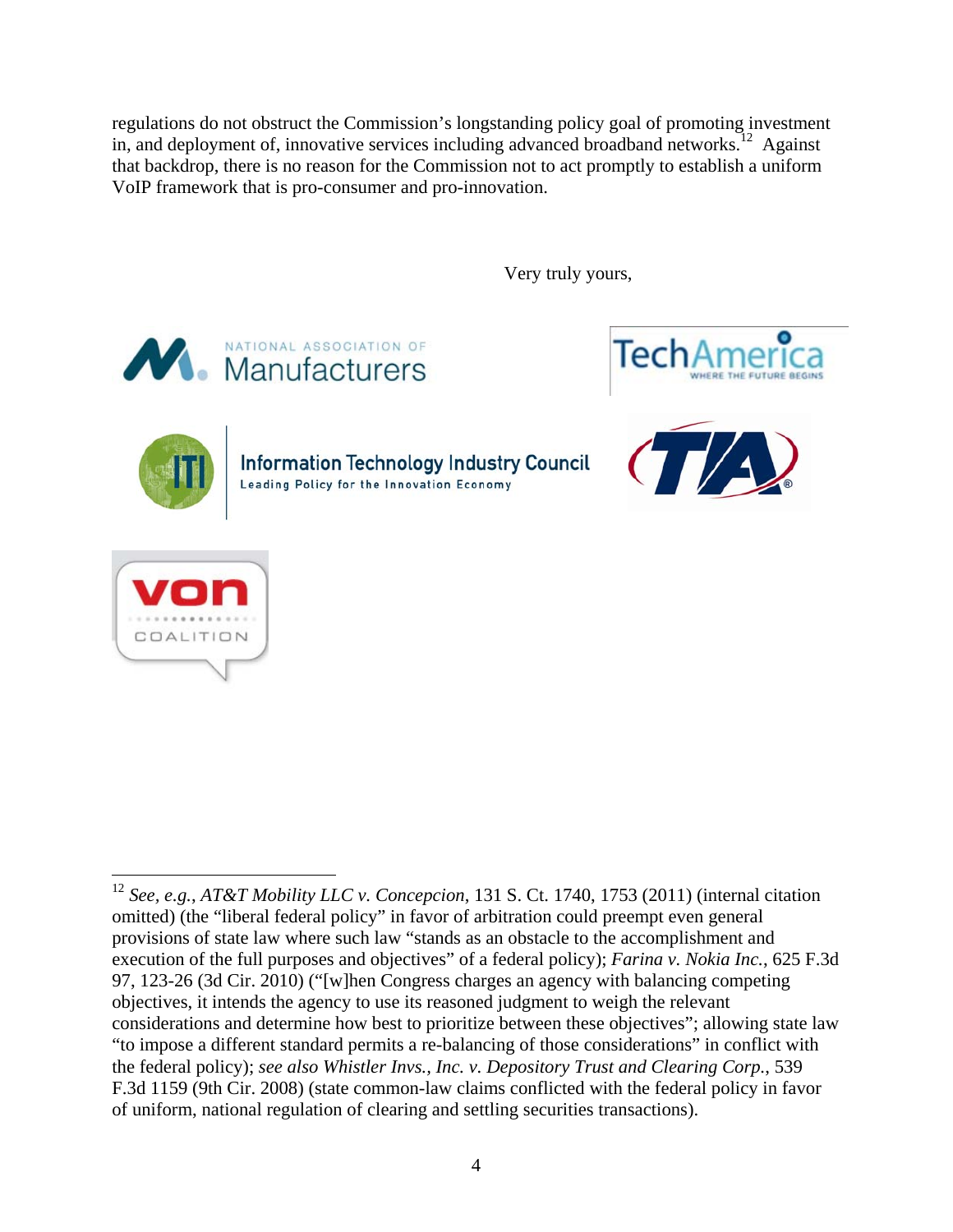regulations do not obstruct the Commission's longstanding policy goal of promoting investment in, and deployment of, innovative services including advanced broadband networks.<sup>12</sup> Against that backdrop, there is no reason for the Commission not to act promptly to establish a uniform VoIP framework that is pro-consumer and pro-innovation.

Very truly yours,







**Information Technology Industry Council** Leading Policy for the Innovation Economy





 $\overline{a}$ <sup>12</sup> *See, e.g.*, *AT&T Mobility LLC v. Concepcion*, 131 S. Ct. 1740, 1753 (2011) (internal citation omitted) (the "liberal federal policy" in favor of arbitration could preempt even general provisions of state law where such law "stands as an obstacle to the accomplishment and execution of the full purposes and objectives" of a federal policy); *Farina v. Nokia Inc.*, 625 F.3d 97, 123-26 (3d Cir. 2010) ("[w]hen Congress charges an agency with balancing competing objectives, it intends the agency to use its reasoned judgment to weigh the relevant considerations and determine how best to prioritize between these objectives"; allowing state law "to impose a different standard permits a re-balancing of those considerations" in conflict with the federal policy); *see also Whistler Invs., Inc. v. Depository Trust and Clearing Corp.*, 539 F.3d 1159 (9th Cir. 2008) (state common-law claims conflicted with the federal policy in favor of uniform, national regulation of clearing and settling securities transactions).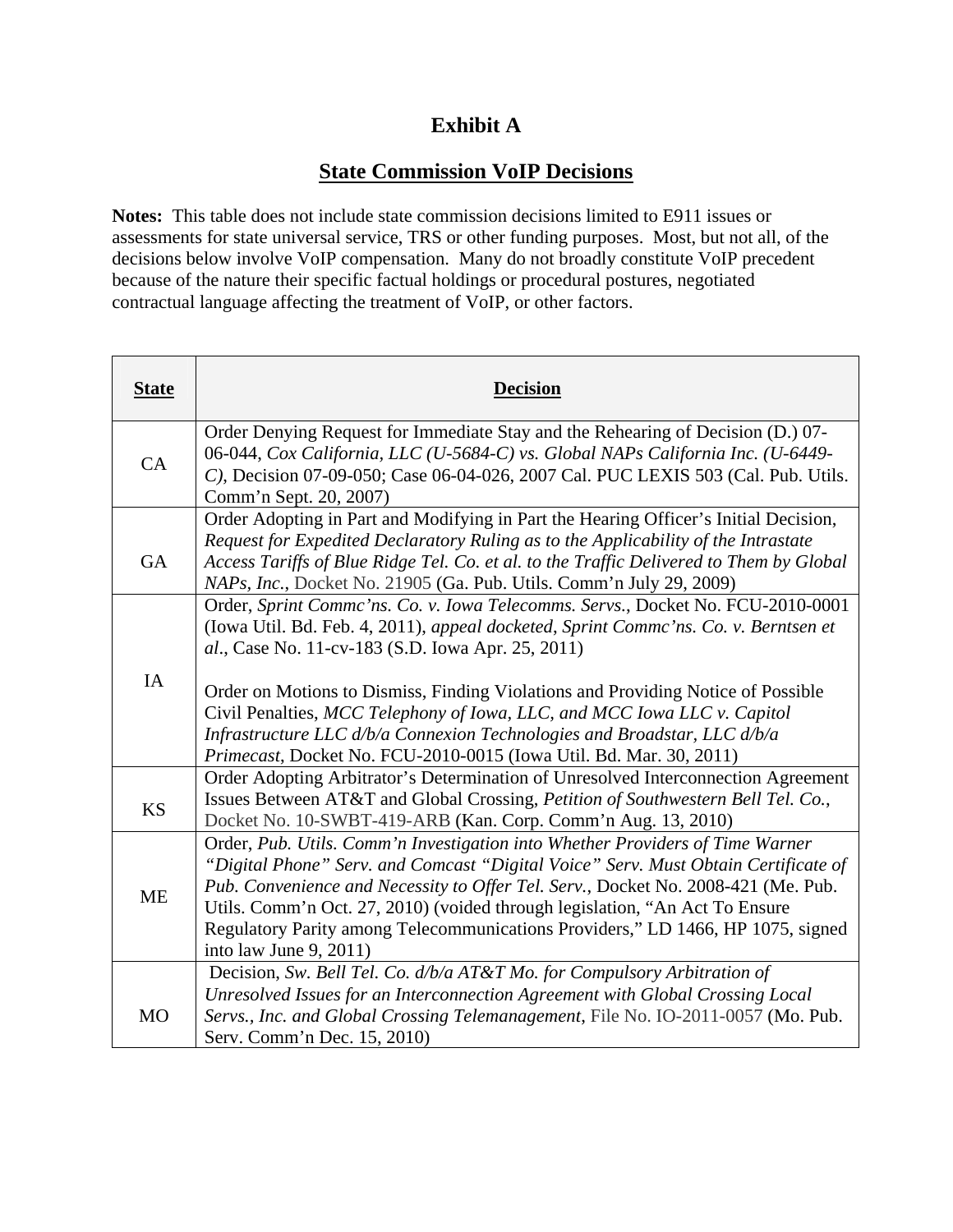### **Exhibit A**

### **State Commission VoIP Decisions**

**Notes:** This table does not include state commission decisions limited to E911 issues or assessments for state universal service, TRS or other funding purposes. Most, but not all, of the decisions below involve VoIP compensation. Many do not broadly constitute VoIP precedent because of the nature their specific factual holdings or procedural postures, negotiated contractual language affecting the treatment of VoIP, or other factors.

| <b>State</b> | <b>Decision</b>                                                                                                                                                                                                                                                                                                                                                                                                                                         |  |
|--------------|---------------------------------------------------------------------------------------------------------------------------------------------------------------------------------------------------------------------------------------------------------------------------------------------------------------------------------------------------------------------------------------------------------------------------------------------------------|--|
| CA           | Order Denying Request for Immediate Stay and the Rehearing of Decision (D.) 07-<br>06-044, Cox California, LLC (U-5684-C) vs. Global NAPs California Inc. (U-6449-<br>C), Decision 07-09-050; Case 06-04-026, 2007 Cal. PUC LEXIS 503 (Cal. Pub. Utils.<br>Comm'n Sept. 20, 2007)                                                                                                                                                                       |  |
| <b>GA</b>    | Order Adopting in Part and Modifying in Part the Hearing Officer's Initial Decision,<br>Request for Expedited Declaratory Ruling as to the Applicability of the Intrastate<br>Access Tariffs of Blue Ridge Tel. Co. et al. to the Traffic Delivered to Them by Global<br>NAPs, Inc., Docket No. 21905 (Ga. Pub. Utils. Comm'n July 29, 2009)                                                                                                            |  |
|              | Order, Sprint Commc'ns. Co. v. Iowa Telecomms. Servs., Docket No. FCU-2010-0001<br>(Iowa Util. Bd. Feb. 4, 2011), appeal docketed, Sprint Commc'ns. Co. v. Berntsen et<br>al., Case No. 11-cv-183 (S.D. Iowa Apr. 25, 2011)                                                                                                                                                                                                                             |  |
| IA           | Order on Motions to Dismiss, Finding Violations and Providing Notice of Possible<br>Civil Penalties, MCC Telephony of Iowa, LLC, and MCC Iowa LLC v. Capitol<br>Infrastructure LLC d/b/a Connexion Technologies and Broadstar, LLC d/b/a<br>Primecast, Docket No. FCU-2010-0015 (Iowa Util. Bd. Mar. 30, 2011)                                                                                                                                          |  |
| <b>KS</b>    | Order Adopting Arbitrator's Determination of Unresolved Interconnection Agreement<br>Issues Between AT&T and Global Crossing, Petition of Southwestern Bell Tel. Co.,<br>Docket No. 10-SWBT-419-ARB (Kan. Corp. Comm'n Aug. 13, 2010)                                                                                                                                                                                                                   |  |
| <b>ME</b>    | Order, Pub. Utils. Comm'n Investigation into Whether Providers of Time Warner<br>"Digital Phone" Serv. and Comcast "Digital Voice" Serv. Must Obtain Certificate of<br>Pub. Convenience and Necessity to Offer Tel. Serv., Docket No. 2008-421 (Me. Pub.<br>Utils. Comm'n Oct. 27, 2010) (voided through legislation, "An Act To Ensure<br>Regulatory Parity among Telecommunications Providers," LD 1466, HP 1075, signed<br>into law June $9, 2011$ ) |  |
| <b>MO</b>    | Decision, Sw. Bell Tel. Co. d/b/a AT&T Mo. for Compulsory Arbitration of<br>Unresolved Issues for an Interconnection Agreement with Global Crossing Local<br>Servs., Inc. and Global Crossing Telemanagement, File No. IO-2011-0057 (Mo. Pub.<br>Serv. Comm'n Dec. 15, 2010)                                                                                                                                                                            |  |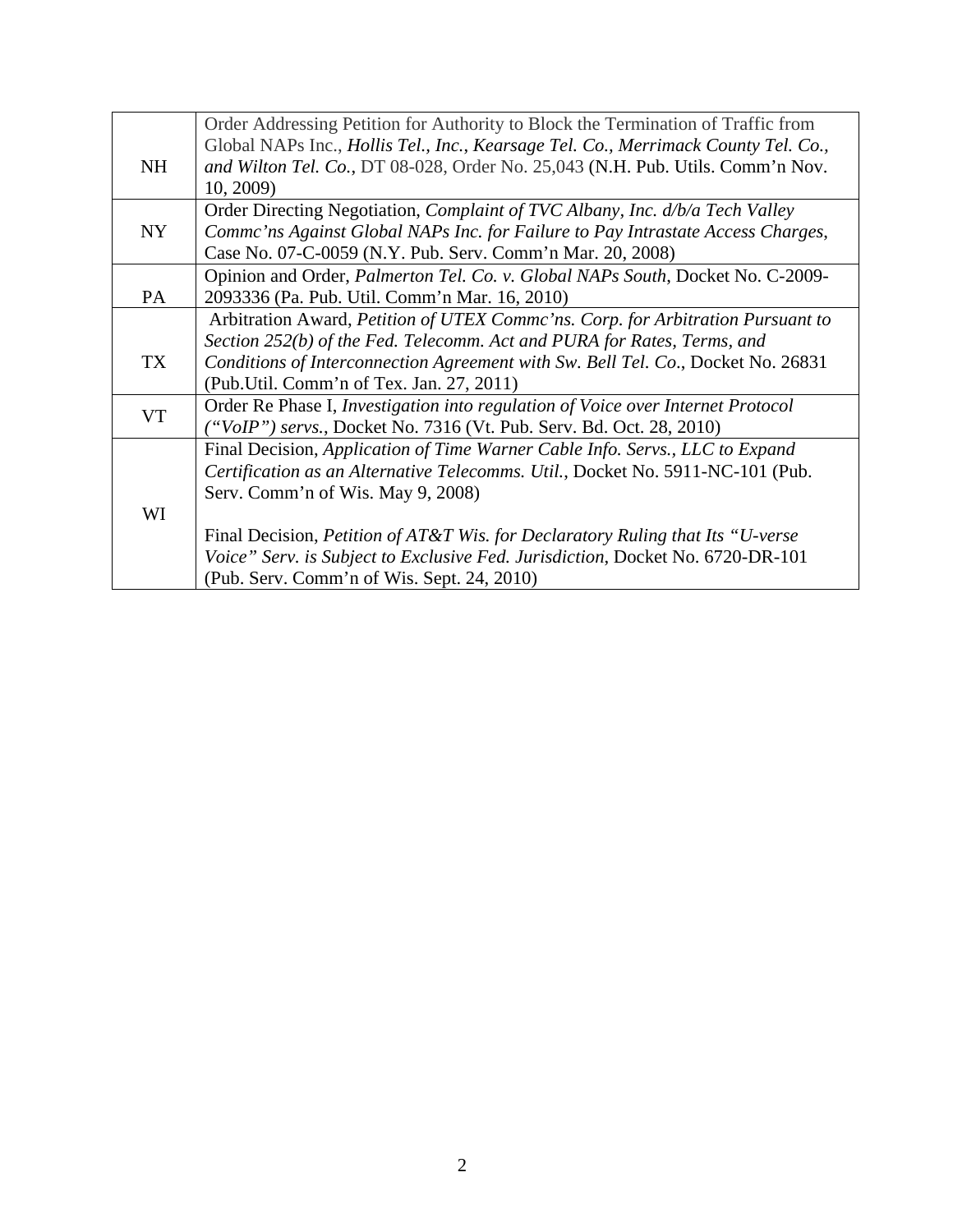|           | Order Addressing Petition for Authority to Block the Termination of Traffic from          |
|-----------|-------------------------------------------------------------------------------------------|
|           | Global NAPs Inc., Hollis Tel., Inc., Kearsage Tel. Co., Merrimack County Tel. Co.,        |
| <b>NH</b> | and Wilton Tel. Co., DT 08-028, Order No. 25,043 (N.H. Pub. Utils. Comm'n Nov.            |
|           | 10, 2009)                                                                                 |
|           | Order Directing Negotiation, <i>Complaint of TVC Albany, Inc. d/b/a Tech Valley</i>       |
| NY        | Comme'ns Against Global NAPs Inc. for Failure to Pay Intrastate Access Charges,           |
|           | Case No. 07-C-0059 (N.Y. Pub. Serv. Comm'n Mar. 20, 2008)                                 |
|           | Opinion and Order, Palmerton Tel. Co. v. Global NAPs South, Docket No. C-2009-            |
| PA        | 2093336 (Pa. Pub. Util. Comm'n Mar. 16, 2010)                                             |
|           | Arbitration Award, Petition of UTEX Commc'ns. Corp. for Arbitration Pursuant to           |
|           | Section 252(b) of the Fed. Telecomm. Act and PURA for Rates, Terms, and                   |
| <b>TX</b> | Conditions of Interconnection Agreement with Sw. Bell Tel. Co., Docket No. 26831          |
|           | (Pub. Util. Comm'n of Tex. Jan. 27, 2011)                                                 |
| <b>VT</b> | Order Re Phase I, Investigation into regulation of Voice over Internet Protocol           |
|           | ("VoIP") servs., Docket No. 7316 (Vt. Pub. Serv. Bd. Oct. 28, 2010)                       |
|           | Final Decision, Application of Time Warner Cable Info. Servs., LLC to Expand              |
|           | Certification as an Alternative Telecomms. Util., Docket No. 5911-NC-101 (Pub.            |
|           | Serv. Comm'n of Wis. May 9, 2008)                                                         |
| WI        |                                                                                           |
|           | Final Decision, <i>Petition of AT&amp;T Wis. for Declaratory Ruling that Its "U-verse</i> |
|           | Voice" Serv. is Subject to Exclusive Fed. Jurisdiction, Docket No. 6720-DR-101            |
|           | (Pub. Serv. Comm'n of Wis. Sept. 24, 2010)                                                |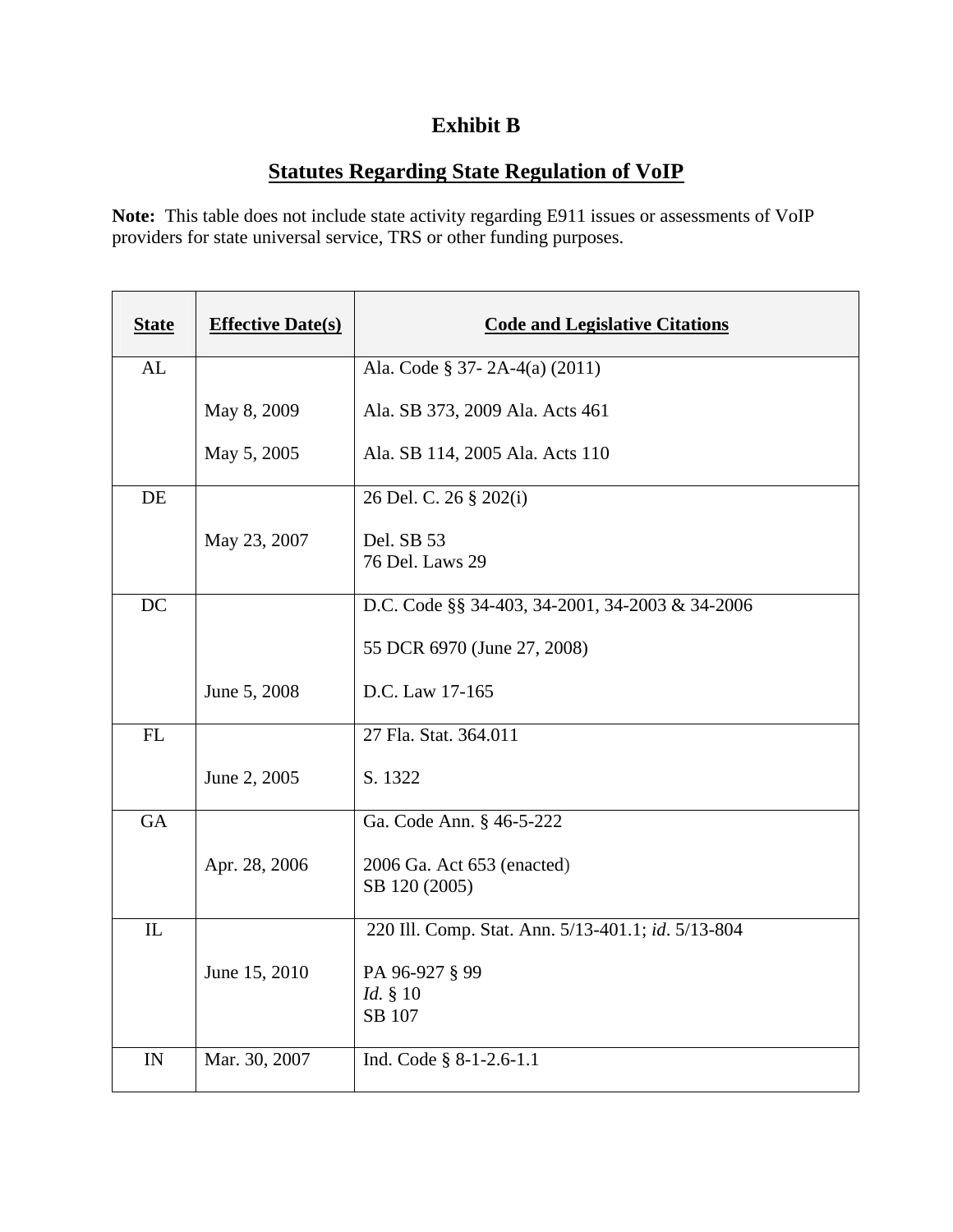# **Exhibit B**

## **Statutes Regarding State Regulation of VoIP**

**Note:** This table does not include state activity regarding E911 issues or assessments of VoIP providers for state universal service, TRS or other funding purposes.

| <b>State</b> | <b>Effective Date(s)</b> | <b>Code and Legislative Citations</b>              |
|--------------|--------------------------|----------------------------------------------------|
| AL           |                          | Ala. Code § 37-2A-4(a) (2011)                      |
|              | May 8, 2009              | Ala. SB 373, 2009 Ala. Acts 461                    |
|              | May 5, 2005              | Ala. SB 114, 2005 Ala. Acts 110                    |
| DE           |                          | 26 Del. C. 26 § 202(i)                             |
|              | May 23, 2007             | Del. SB 53<br>76 Del. Laws 29                      |
| DC           |                          | D.C. Code §§ 34-403, 34-2001, 34-2003 & 34-2006    |
|              |                          | 55 DCR 6970 (June 27, 2008)                        |
|              | June 5, 2008             | D.C. Law 17-165                                    |
| ${\rm FL}$   |                          | 27 Fla. Stat. 364.011                              |
|              | June 2, 2005             | S. 1322                                            |
| <b>GA</b>    |                          | Ga. Code Ann. § 46-5-222                           |
|              | Apr. 28, 2006            | 2006 Ga. Act 653 (enacted)<br>SB 120 (2005)        |
| IL           |                          | 220 Ill. Comp. Stat. Ann. 5/13-401.1; id. 5/13-804 |
|              | June 15, 2010            | PA 96-927 § 99<br><i>Id.</i> § 10<br>SB 107        |
| IN           | Mar. 30, 2007            | Ind. Code $\S$ 8-1-2.6-1.1                         |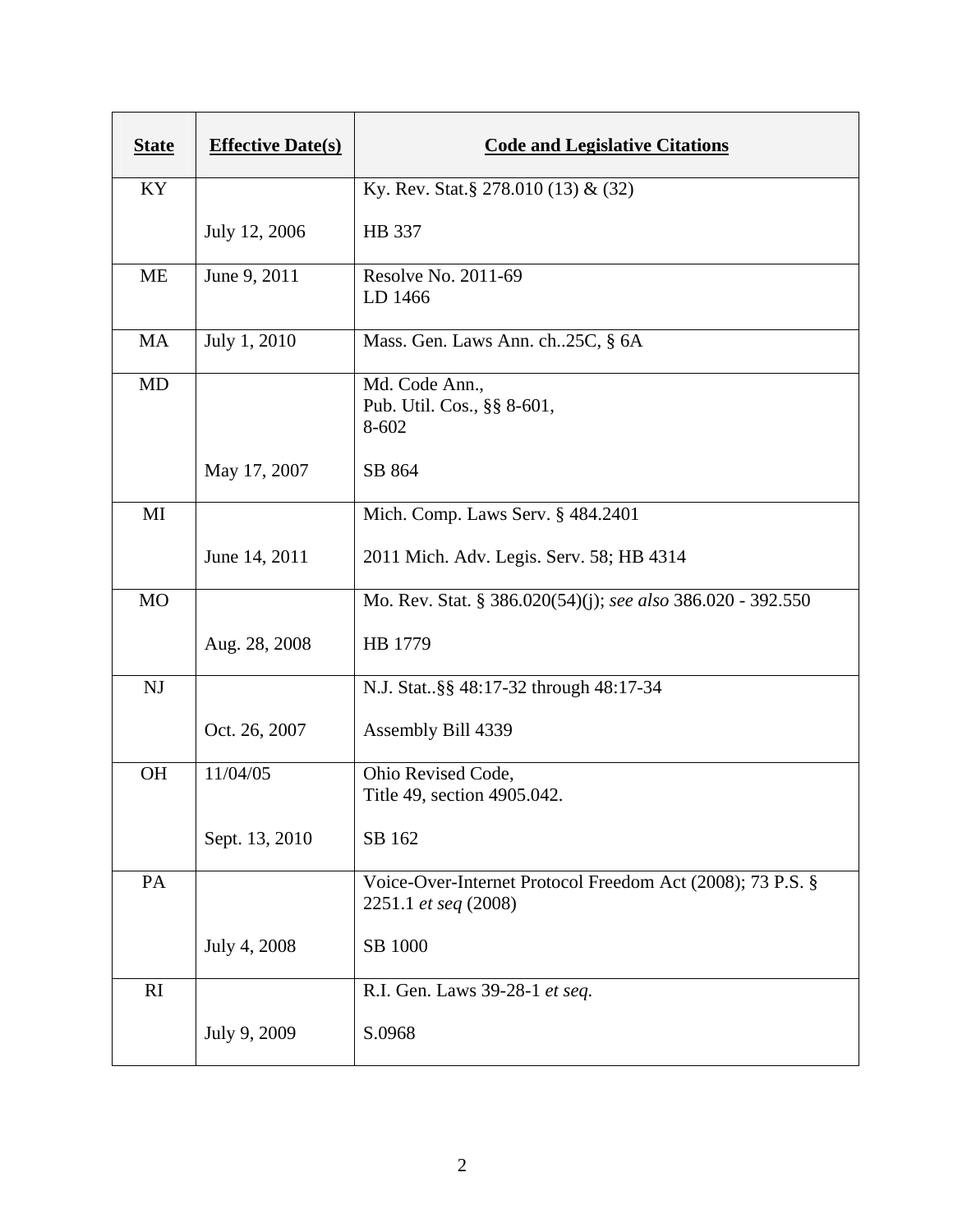| <b>State</b> | <b>Effective Date(s)</b> | <b>Code and Legislative Citations</b>                                              |
|--------------|--------------------------|------------------------------------------------------------------------------------|
| KY           |                          | Ky. Rev. Stat.§ 278.010 (13) & (32)                                                |
|              | July 12, 2006            | HB 337                                                                             |
| <b>ME</b>    | June 9, 2011             | Resolve No. 2011-69<br>LD 1466                                                     |
| MA           | July 1, 2010             | Mass. Gen. Laws Ann. ch. 25C, § 6A                                                 |
| <b>MD</b>    |                          | Md. Code Ann.,<br>Pub. Util. Cos., §§ 8-601,<br>8-602                              |
|              | May 17, 2007             | SB 864                                                                             |
| MI           |                          | Mich. Comp. Laws Serv. § 484.2401                                                  |
|              | June 14, 2011            | 2011 Mich. Adv. Legis. Serv. 58; HB 4314                                           |
| <b>MO</b>    |                          | Mo. Rev. Stat. § 386.020(54)(j); see also 386.020 - 392.550                        |
|              | Aug. 28, 2008            | HB 1779                                                                            |
| <b>NJ</b>    |                          | N.J. Stat§§ 48:17-32 through 48:17-34                                              |
|              | Oct. 26, 2007            | Assembly Bill 4339                                                                 |
| <b>OH</b>    | 11/04/05                 | Ohio Revised Code,<br>Title 49, section 4905.042.                                  |
|              | Sept. 13, 2010           | SB 162                                                                             |
| PA           |                          | Voice-Over-Internet Protocol Freedom Act (2008); 73 P.S. §<br>2251.1 et seq (2008) |
|              | July 4, 2008             | SB 1000                                                                            |
| RI           |                          | R.I. Gen. Laws 39-28-1 et seq.                                                     |
|              | July 9, 2009             | S.0968                                                                             |